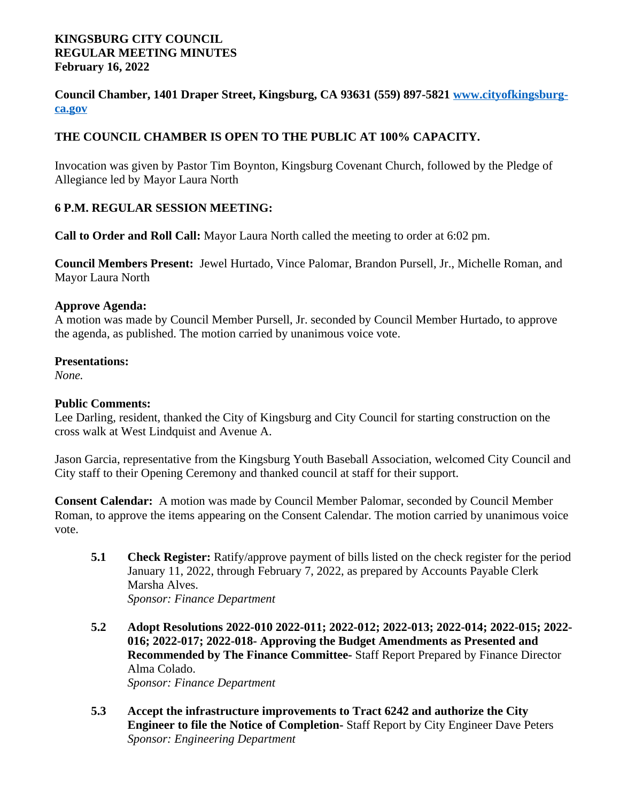#### **KINGSBURG CITY COUNCIL REGULAR MEETING MINUTES February 16, 2022**

**Council Chamber, 1401 Draper Street, Kingsburg, CA 93631 (559) 897-5821 [www.cityofkingsburg](http://www.cityofkingsburg-ca.gov)ca.gov**

### **THE COUNCIL CHAMBER IS OPEN TO THE PUBLIC AT 100% CAPACITY.**

Invocation was given by Pastor Tim Boynton, Kingsburg Covenant Church, followed by the Pledge of Allegiance led by Mayor Laura North

### **6 P.M. REGULAR SESSION MEETING:**

**Call to Order and Roll Call:** Mayor Laura North called the meeting to order at 6:02 pm.

**Council Members Present:** Jewel Hurtado, Vince Palomar, Brandon Pursell, Jr., Michelle Roman, and Mayor Laura North

#### **Approve Agenda:**

A motion was made by Council Member Pursell, Jr. seconded by Council Member Hurtado, to approve the agenda, as published. The motion carried by unanimous voice vote.

#### **Presentations:**

*None.*

#### **Public Comments:**

Lee Darling, resident, thanked the City of Kingsburg and City Council for starting construction on the cross walk at West Lindquist and Avenue A.

Jason Garcia, representative from the Kingsburg Youth Baseball Association, welcomed City Council and City staff to their Opening Ceremony and thanked council at staff for their support.

**Consent Calendar:** A motion was made by Council Member Palomar, seconded by Council Member Roman, to approve the items appearing on the Consent Calendar. The motion carried by unanimous voice vote.

- **5.1 Check Register:** Ratify/approve payment of bills listed on the check register for the period January 11, 2022, through February 7, 2022, as prepared by Accounts Payable Clerk Marsha Alves. *Sponsor: Finance Department*
- **5.2 Adopt Resolutions 2022-010 2022-011; 2022-012; 2022-013; 2022-014; 2022-015; 2022- 016; 2022-017; 2022-018- Approving the Budget Amendments as Presented and Recommended by The Finance Committee-** Staff Report Prepared by Finance Director Alma Colado. *Sponsor: Finance Department*
- **5.3 Accept the infrastructure improvements to Tract 6242 and authorize the City Engineer to file the Notice of Completion-** Staff Report by City Engineer Dave Peters *Sponsor: Engineering Department*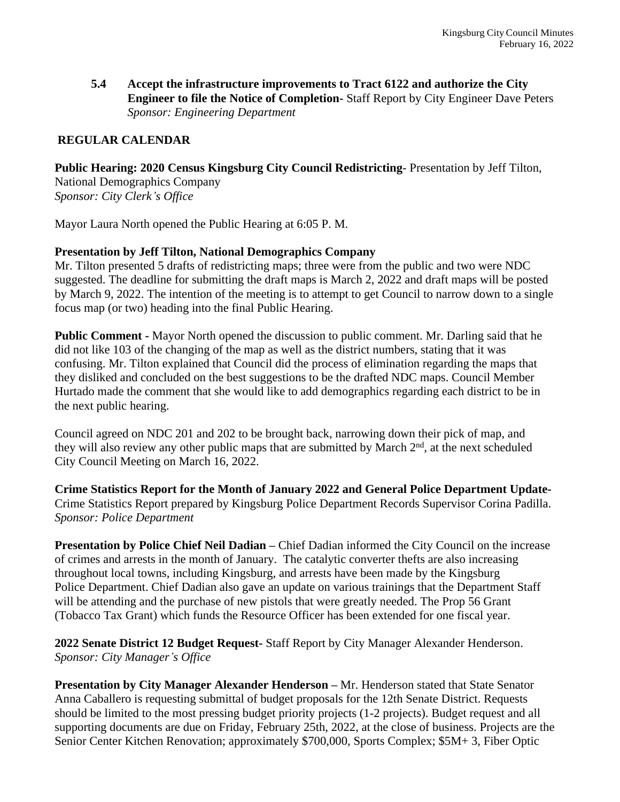**5.4 Accept the infrastructure improvements to Tract 6122 and authorize the City Engineer to file the Notice of Completion-** Staff Report by City Engineer Dave Peters *Sponsor: Engineering Department*

### **REGULAR CALENDAR**

**Public Hearing: 2020 Census Kingsburg City Council Redistricting**- Presentation by Jeff Tilton, National Demographics Company *Sponsor: City Clerk's Office*

Mayor Laura North opened the Public Hearing at 6:05 P. M.

#### **Presentation by Jeff Tilton, National Demographics Company**

Mr. Tilton presented 5 drafts of redistricting maps; three were from the public and two were NDC suggested. The deadline for submitting the draft maps is March 2, 2022 and draft maps will be posted by March 9, 2022. The intention of the meeting is to attempt to get Council to narrow down to a single focus map (or two) heading into the final Public Hearing.

**Public Comment -** Mayor North opened the discussion to public comment. Mr. Darling said that he did not like 103 of the changing of the map as well as the district numbers, stating that it was confusing. Mr. Tilton explained that Council did the process of elimination regarding the maps that they disliked and concluded on the best suggestions to be the drafted NDC maps. Council Member Hurtado made the comment that she would like to add demographics regarding each district to be in the next public hearing.

Council agreed on NDC 201 and 202 to be brought back, narrowing down their pick of map, and they will also review any other public maps that are submitted by March 2nd, at the next scheduled City Council Meeting on March 16, 2022.

**Crime Statistics Report for the Month of January 2022 and General Police Department Update-**Crime Statistics Report prepared by Kingsburg Police Department Records Supervisor Corina Padilla. *Sponsor: Police Department*

**Presentation by Police Chief Neil Dadian –** Chief Dadian informed the City Council on the increase of crimes and arrests in the month of January. The catalytic converter thefts are also increasing throughout local towns, including Kingsburg, and arrests have been made by the Kingsburg Police Department. Chief Dadian also gave an update on various trainings that the Department Staff will be attending and the purchase of new pistols that were greatly needed. The Prop 56 Grant (Tobacco Tax Grant) which funds the Resource Officer has been extended for one fiscal year.

**2022 Senate District 12 Budget Request-** Staff Report by City Manager Alexander Henderson. *Sponsor: City Manager's Office*

**Presentation by City Manager Alexander Henderson –** Mr. Henderson stated that State Senator Anna Caballero is requesting submittal of budget proposals for the 12th Senate District. Requests should be limited to the most pressing budget priority projects (1-2 projects). Budget request and all supporting documents are due on Friday, February 25th, 2022, at the close of business. Projects are the Senior Center Kitchen Renovation; approximately \$700,000, Sports Complex; \$5M+ 3, Fiber Optic